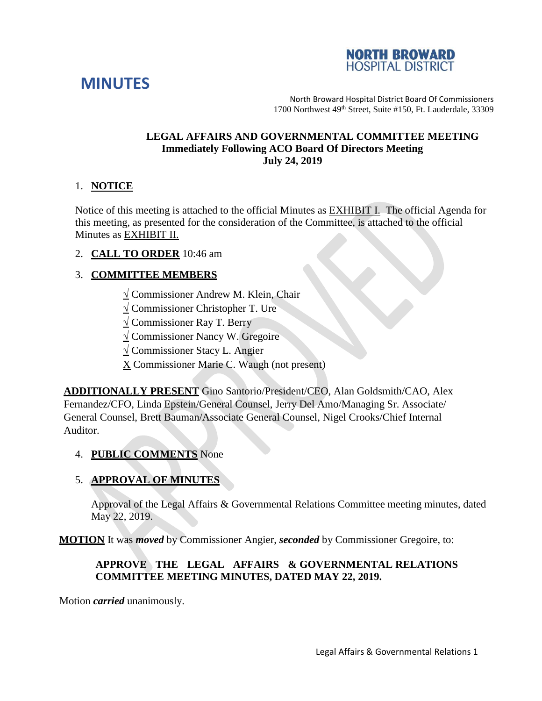



North Broward Hospital District Board Of Commissioners 1700 Northwest 49th Street, Suite #150, Ft. Lauderdale, 33309

#### **LEGAL AFFAIRS AND GOVERNMENTAL COMMITTEE MEETING Immediately Following ACO Board Of Directors Meeting July 24, 2019**

#### 1. **NOTICE**

Notice of this meeting is attached to the official Minutes as EXHIBIT I. The official Agenda for this meeting, as presented for the consideration of the Committee, is attached to the official Minutes as EXHIBIT II.

2. **CALL TO ORDER** 10:46 am

# 3. **COMMITTEE MEMBERS**

- **√** Commissioner Andrew M. Klein, Chair
- **√** Commissioner Christopher T. Ure
- **√** Commissioner Ray T. Berry
- **√** Commissioner Nancy W. Gregoire
- **√** Commissioner Stacy L. Angier
- $X$  Commissioner Marie C. Waugh (not present)

**ADDITIONALLY PRESENT** Gino Santorio/President/CEO, Alan Goldsmith/CAO, Alex Fernandez/CFO, Linda Epstein/General Counsel, Jerry Del Amo/Managing Sr. Associate/ General Counsel, Brett Bauman/Associate General Counsel, Nigel Crooks/Chief Internal Auditor.

#### 4. **PUBLIC COMMENTS** None

## 5. **APPROVAL OF MINUTES**

Approval of the Legal Affairs & Governmental Relations Committee meeting minutes, dated May 22, 2019.

**MOTION** It was *moved* by Commissioner Angier, *seconded* by Commissioner Gregoire, to:

## **APPROVE THE LEGAL AFFAIRS & GOVERNMENTAL RELATIONS COMMITTEE MEETING MINUTES, DATED MAY 22, 2019.**

Motion *carried* unanimously.